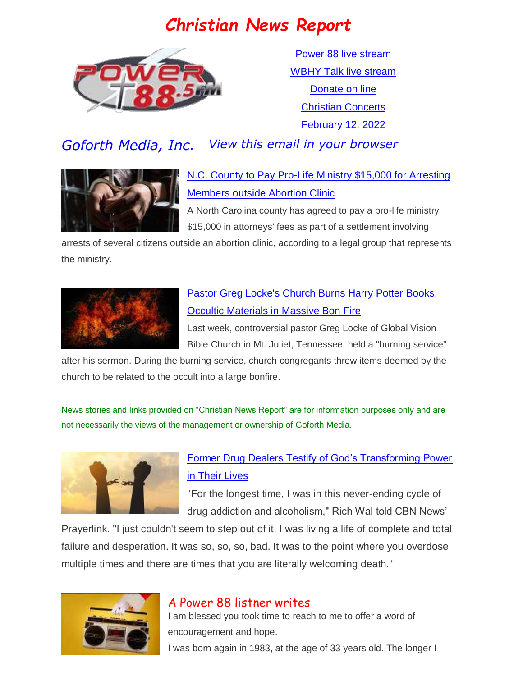# *Christian News Report*



[Power 88 live stream](https://us7.maindigitalstream.com/2920/index.php) [WBHY Talk live stream](http://148.72.155.47:8573/Ahxed5k) [Donate on line](https://forms.ministryforms.net/viewForm.aspx?formId=018b4ff7-2c2f-4f0e-8ef2-689f9601b826) [Christian Concerts](https://www.goforth.org/Concerts) February 12, 2022

# *Goforth Media, Inc. View this email in your browser*



## [N.C. County to Pay Pro-Life Ministry \\$15,000 for Arresting](https://www.christianheadlines.com/contributors/michael-foust/nc-county-to-pay-pro-life-ministry-15000-for-arresting-members-outside-abortion-clinic.html)  [Members outside Abortion Clinic](https://www.christianheadlines.com/contributors/michael-foust/nc-county-to-pay-pro-life-ministry-15000-for-arresting-members-outside-abortion-clinic.html)

A North Carolina county has agreed to pay a pro-life ministry \$15,000 in attorneys' fees as part of a settlement involving

arrests of several citizens outside an abortion clinic, according to a legal group that represents the ministry.



## [Pastor Greg Locke's Church Burns Harry Potter Books,](https://www.christianheadlines.com/contributors/milton-quintanilla/pastor-greg-lockes-church-burns-harry-potter-books-occultic-materials-in-massive-bon-fire.html)  [Occultic Materials in Massive Bon Fire](https://www.christianheadlines.com/contributors/milton-quintanilla/pastor-greg-lockes-church-burns-harry-potter-books-occultic-materials-in-massive-bon-fire.html)

Last week, controversial pastor Greg Locke of Global Vision Bible Church in Mt. Juliet, Tennessee, held a "burning service"

after his sermon. During the burning service, church congregants threw items deemed by the church to be related to the occult into a large bonfire.

News stories and links provided on "Christian News Report" are for information purposes only and are not necessarily the views of the management or ownership of Goforth Media.



## [Former Drug Dealers Testify of God's Transforming Power](https://www.christianheadlines.com/contributors/milton-quintanilla/former-drug-dealers-testify-of-gods-transforming-power-in-their-lives.html)  [in Their Lives](https://www.christianheadlines.com/contributors/milton-quintanilla/former-drug-dealers-testify-of-gods-transforming-power-in-their-lives.html)

"For the longest time, I was in this never-ending cycle of drug addiction and alcoholism," Rich Wal told CBN News'

Prayerlink. "I just couldn't seem to step out of it. I was living a life of complete and total failure and desperation. It was so, so, so, bad. It was to the point where you overdose multiple times and there are times that you are literally welcoming death."



## A Power 88 listner writes

I am blessed you took time to reach to me to offer a word of encouragement and hope.

I was born again in 1983, at the age of 33 years old. The longer I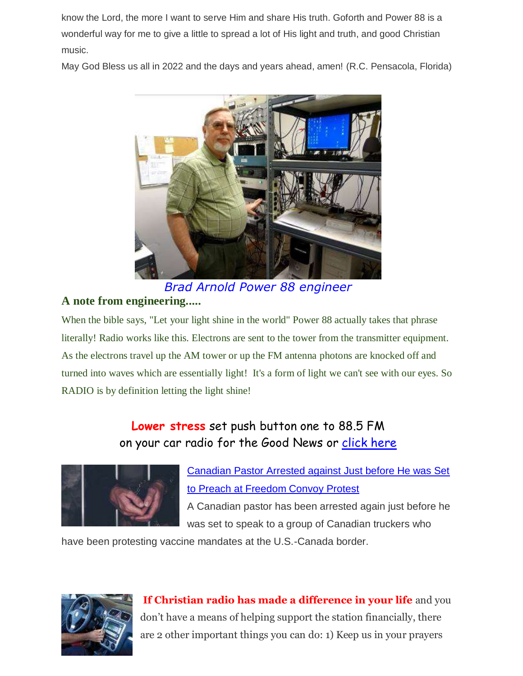know the Lord, the more I want to serve Him and share His truth. Goforth and Power 88 is a wonderful way for me to give a little to spread a lot of His light and truth, and good Christian music.

May God Bless us all in 2022 and the days and years ahead, amen! (R.C. Pensacola, Florida)



*Brad Arnold Power 88 engineer*

#### **A note from engineering.....**

When the bible says, "Let your light shine in the world" Power 88 actually takes that phrase literally! Radio works like this. Electrons are sent to the tower from the transmitter equipment. As the electrons travel up the AM tower or up the FM antenna photons are knocked off and turned into waves which are essentially light! It's a form of light we can't see with our eyes. So RADIO is by definition letting the light shine!

## **Lower stress** set push button one to 88.5 FM on your car radio for the Good News or [click here](https://us7.maindigitalstream.com/2920/)



[Canadian Pastor Arrested against Just before He was Set](https://www.christianheadlines.com/blog/canadian-pastor-arrested-against-just-before-he-was-set-to-preach-at-freedom-convoy-protest.html)  [to Preach at Freedom Convoy Protest](https://www.christianheadlines.com/blog/canadian-pastor-arrested-against-just-before-he-was-set-to-preach-at-freedom-convoy-protest.html) A Canadian pastor has been arrested again just before he

was set to speak to a group of Canadian truckers who

have been protesting vaccine mandates at the U.S.-Canada border.



**If Christian radio has made a difference in your life** and you don't have a means of helping support the station financially, there are 2 other important things you can do: 1) Keep us in your prayers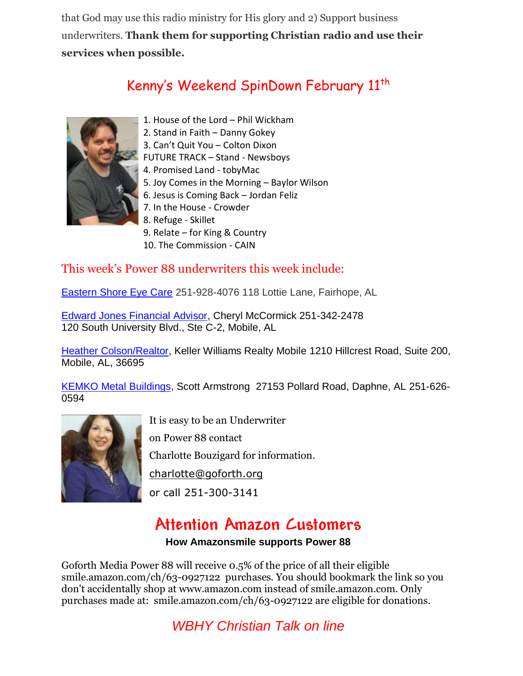that God may use this radio ministry for His glory and 2) Support business underwriters. **Thank them for supporting Christian radio and use their services when possible.**

# Kenny's Weekend SpinDown February 11<sup>th</sup>



- 1. House of the Lord Phil Wickham
- 2. Stand in Faith Danny Gokey
- 3. Can't Quit You Colton Dixon

FUTURE TRACK – Stand - Newsboys

- 4. Promised Land tobyMac
- 5. Joy Comes in the Morning Baylor Wilson
- 6. Jesus is Coming Back Jordan Feliz
- 7. In the House Crowder
- 8. Refuge Skillet
- 9. Relate for King & Country
- 10. The Commission CAIN

## This week's Power 88 underwriters this week include:

[Eastern Shore Eye Care](http://www.easternshoreeyecare.com/) 251-928-4076 118 Lottie Lane, Fairhope, AL

[Edward Jones Financial Advisor,](https://www.edwardjones.com/us-en) Cheryl McCormick 251-342-2478 120 South University Blvd., Ste C-2, Mobile, AL

[Heather Colson/Realtor,](https://heathercolson.kw.com/) Keller Williams Realty Mobile 1210 Hillcrest Road, Suite 200, Mobile, AL, 36695

[KEMKO Metal Buildings,](http://www.kemkobuildings.com/) Scott Armstrong 27153 Pollard Road, Daphne, AL 251-626- 0594



It is easy to be an Underwriter

on Power 88 contact

Charlotte Bouzigard for information.

[charlotte@goforth.org](mailto:charlotte@goforth.org)

or call 251-300-3141

# **Attention Amazon Customers**

#### **How Amazonsmile supports Power 88**

Goforth Media Power 88 will receive 0.5% of the price of all their eligible [smile.amazon.com/ch/63-0927122](https://www.amazon.com/gp/r.html?C=2AU9G2CMQ9IQM&R=1QK2JMJNP3GH7&T=C&U=http%3A%2F%2Fsmile.amazon.com%2Fch%2F63-0927122&A=BCZPEIHVLV99IVSUOLG1YPFXTGWA&H=XVLELAMUAST3PRIK4CW2E8JRKTCA) purchases. You should bookmark the link so you don't accidentally shop at www.amazon.com instead of smile.amazon.com. Only purchases made at: [smile.amazon.com/ch/63-0927122](https://www.amazon.com/gp/r.html?C=2AU9G2CMQ9IQM&R=1QK2JMJNP3GH7&T=C&U=http%3A%2F%2Fsmile.amazon.com%2Fch%2F63-0927122&A=BCZPEIHVLV99IVSUOLG1YPFXTGWA&H=XVLELAMUAST3PRIK4CW2E8JRKTCA) are eligible for donations.

# *WBHY Christian Talk on line*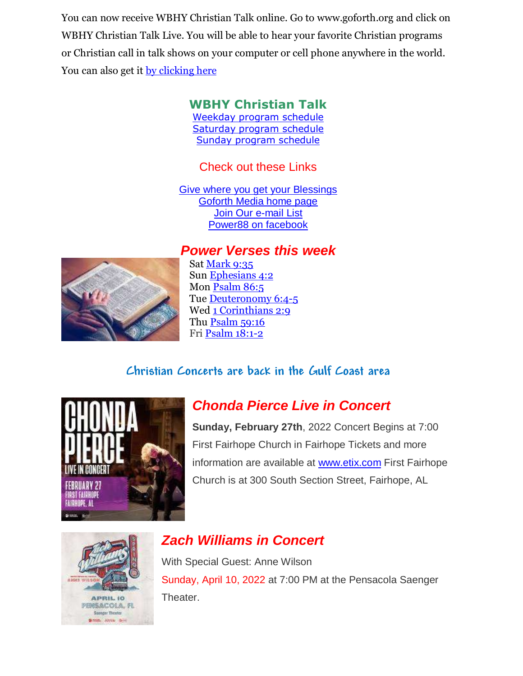You can now receive WBHY Christian Talk online. Go to [www.goforth.org](http://www.goforth.org/) and click on WBHY Christian Talk Live. You will be able to hear your favorite Christian programs or Christian call in talk shows on your computer or cell phone anywhere in the world. You can also get it <u>by clicking here</u>

# **WBHY Christian Talk**

[Weekday program schedule](https://goforth.schoolinsites.com/dailyprogramschedule) [Saturday program schedule](https://goforth.schoolinsites.com/saturdayprogramschedule) [Sunday program schedule](https://goforth.schoolinsites.com/sundayprogramschedule)

## Check out these Links

[Give where you get your Blessings](https://forms.ministryforms.net/viewForm.aspx?formId=018b4ff7-2c2f-4f0e-8ef2-689f9601b826) [Goforth Media home page](http://www.goforth.org/) [Join Our e-mail List](http://user.goforth.org/mail-form/mail_form.htm) [Power88 on facebook](http://www.facebook.com/Power88fm)

## *Power Verses this week*



Sat [Mark 9:35](https://www.biblegateway.com/passage/?search=Mark%209:35&version=niv) Sun [Ephesians 4:2](https://www.biblegateway.com/passage/?search=Ephesians%204:2&version=niv) Mon [Psalm 86:5](https://www.biblegateway.com/passage/?search=Psalm%2086:5&version=niv) Tue [Deuteronomy 6:4-5](https://www.biblegateway.com/passage/?search=Deuteronomy%206:4-5&version=niv) Wed [1 Corinthians 2:9](https://www.biblegateway.com/passage/?search=1%20Corinthians%202:9&version=niv) Thu [Psalm 59:16](https://www.biblegateway.com/passage/?search=Psalm%2059:16&version=niv) Fri [Psalm 18:1-2](https://www.biblegateway.com/passage/?search=Psalm%2018:1-2&version=niv)

## **Christian Concerts are back in the [Gulf Coast](https://goforth.schoolinsites.com/Concerts) area**

![](_page_3_Picture_9.jpeg)

# *Chonda Pierce Live in Concert*

**Sunday, February 27th**, 2022 Concert Begins at 7:00 First Fairhope Church in Fairhope Tickets and more information are available at [www.etix.com](http://www.etix.com/) First Fairhope Church is at 300 South Section Street, Fairhope, AL

![](_page_3_Picture_12.jpeg)

# *Zach Williams in Concert*

With Special Guest: Anne Wilson Sunday, April 10, 2022 at 7:00 PM at the Pensacola Saenger Theater.